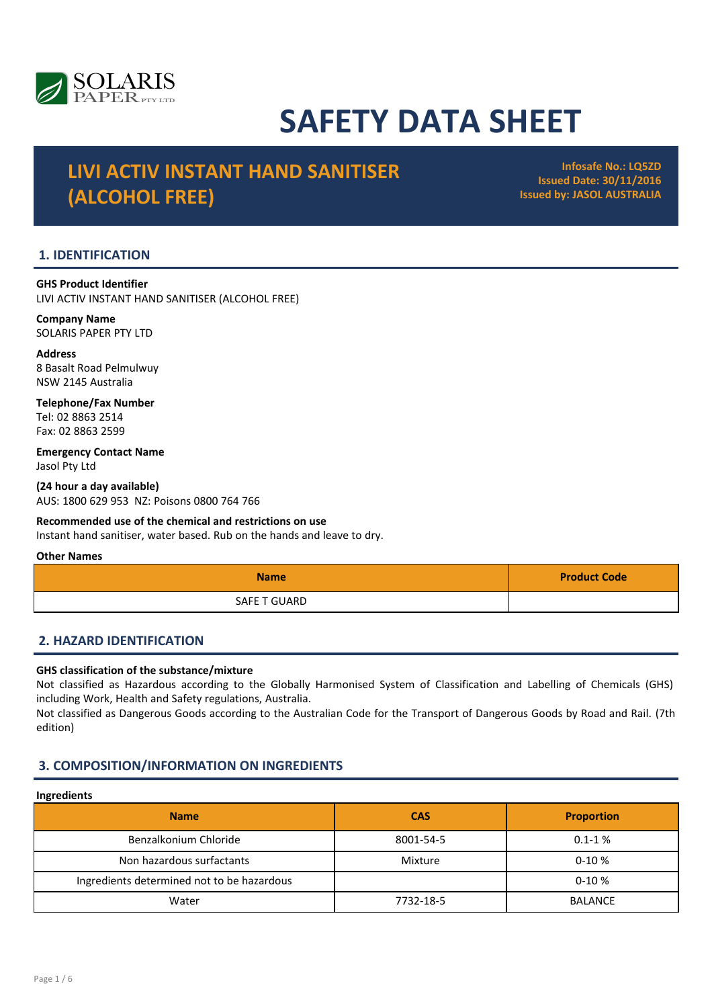

# SAFETY DATA SHEET

# LIVI ACTIV INSTANT HAND SANITISER (ALCOHOL FREE)

Infosafe No.: LQ5ZD Issued Date: 30/11/2016 Issued by: JASOL AUSTRALIA

# 1. IDENTIFICATION

GHS Product Identifier LIVI ACTIV INSTANT HAND SANITISER (ALCOHOL FREE)

# Company Name

SOLARIS PAPER PTY LTD

#### Address 8 Basalt Road Pelmulwuy NSW 2145 Australia

Telephone/Fax Number Tel: 02 8863 2514 Fax: 02 8863 2599

Emergency Contact Name Jasol Pty Ltd

(24 hour a day available) AUS: 1800 629 953 NZ: Poisons 0800 764 766

# Recommended use of the chemical and restrictions on use

Instant hand sanitiser, water based. Rub on the hands and leave to dry.

#### Other Names

| <b>Name</b>  | <b>Product Code</b> |
|--------------|---------------------|
| SAFE T GUARD |                     |

# 2. HAZARD IDENTIFICATION

#### GHS classification of the substance/mixture

Not classified as Hazardous according to the Globally Harmonised System of Classification and Labelling of Chemicals (GHS) including Work, Health and Safety regulations, Australia.

Not classified as Dangerous Goods according to the Australian Code for the Transport of Dangerous Goods by Road and Rail. (7th edition)

# 3. COMPOSITION/INFORMATION ON INGREDIENTS

# Ingredients

| .                                          |            |                   |
|--------------------------------------------|------------|-------------------|
| <b>Name</b>                                | <b>CAS</b> | <b>Proportion</b> |
| Benzalkonium Chloride                      | 8001-54-5  | $0.1 - 1%$        |
| Non hazardous surfactants                  | Mixture    | $0-10%$           |
| Ingredients determined not to be hazardous |            | $0-10%$           |
| Water                                      | 7732-18-5  | <b>BALANCE</b>    |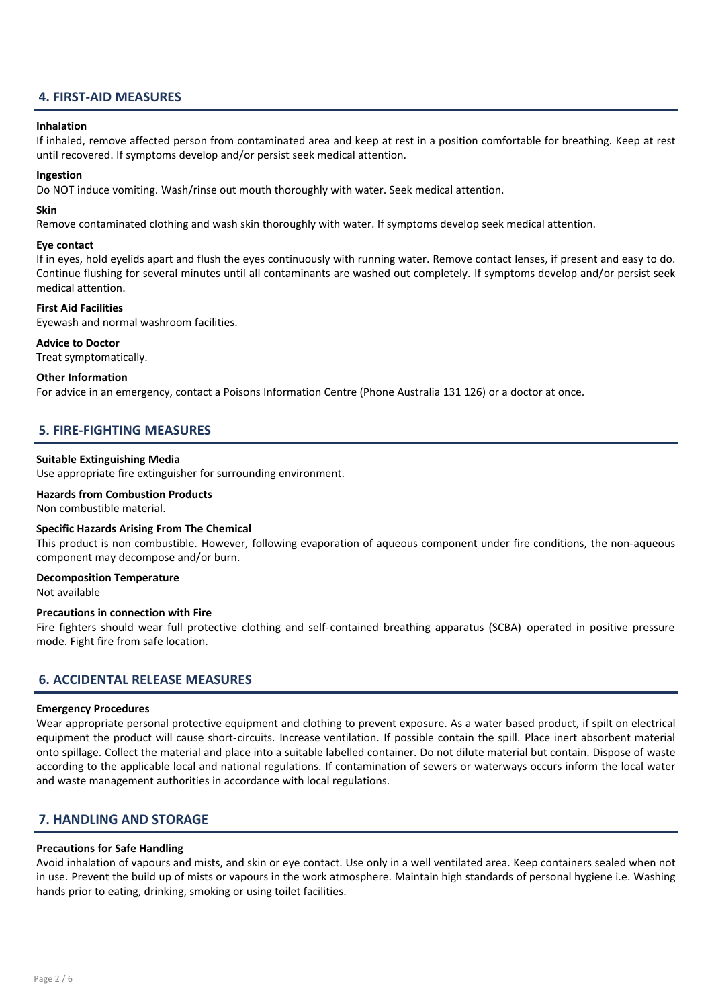# 4. FIRST-AID MEASURES

#### Inhalation

If inhaled, remove affected person from contaminated area and keep at rest in a position comfortable for breathing. Keep at rest until recovered. If symptoms develop and/or persist seek medical attention.

#### Ingestion

Do NOT induce vomiting. Wash/rinse out mouth thoroughly with water. Seek medical attention.

#### Skin

Remove contaminated clothing and wash skin thoroughly with water. If symptoms develop seek medical attention.

#### Eye contact

If in eyes, hold eyelids apart and flush the eyes continuously with running water. Remove contact lenses, if present and easy to do. Continue flushing for several minutes until all contaminants are washed out completely. If symptoms develop and/or persist seek medical attention.

#### First Aid Facilities

Eyewash and normal washroom facilities.

Advice to Doctor

Treat symptomatically.

#### Other Information

For advice in an emergency, contact a Poisons Information Centre (Phone Australia 131 126) or a doctor at once.

# 5. FIRE-FIGHTING MEASURES

#### Suitable Extinguishing Media

Use appropriate fire extinguisher for surrounding environment.

### Hazards from Combustion Products

Non combustible material.

#### Specific Hazards Arising From The Chemical

This product is non combustible. However, following evaporation of aqueous component under fire conditions, the non-aqueous component may decompose and/or burn.

#### Decomposition Temperature

Not available

#### Precautions in connection with Fire

Fire fighters should wear full protective clothing and self-contained breathing apparatus (SCBA) operated in positive pressure mode. Fight fire from safe location.

#### 6. ACCIDENTAL RELEASE MEASURES

#### Emergency Procedures

Wear appropriate personal protective equipment and clothing to prevent exposure. As a water based product, if spilt on electrical equipment the product will cause short-circuits. Increase ventilation. If possible contain the spill. Place inert absorbent material onto spillage. Collect the material and place into a suitable labelled container. Do not dilute material but contain. Dispose of waste according to the applicable local and national regulations. If contamination of sewers or waterways occurs inform the local water and waste management authorities in accordance with local regulations.

# 7. HANDLING AND STORAGE

#### Precautions for Safe Handling

Avoid inhalation of vapours and mists, and skin or eye contact. Use only in a well ventilated area. Keep containers sealed when not in use. Prevent the build up of mists or vapours in the work atmosphere. Maintain high standards of personal hygiene i.e. Washing hands prior to eating, drinking, smoking or using toilet facilities.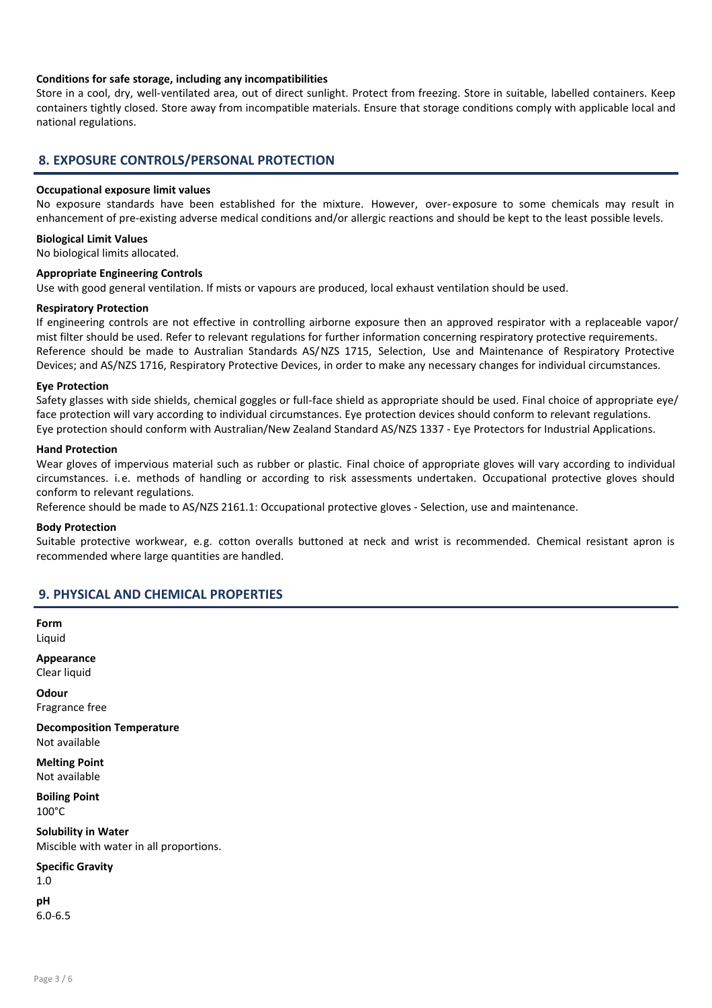#### Conditions for safe storage, including any incompatibilities

Store in a cool, dry, well-ventilated area, out of direct sunlight. Protect from freezing. Store in suitable, labelled containers. Keep containers tightly closed. Store away from incompatible materials. Ensure that storage conditions comply with applicable local and national regulations.

# 8. EXPOSURE CONTROLS/PERSONAL PROTECTION

#### Occupational exposure limit values

No exposure standards have been established for the mixture. However, over- exposure to some chemicals may result in enhancement of pre-existing adverse medical conditions and/or allergic reactions and should be kept to the least possible levels.

#### Biological Limit Values

No biological limits allocated.

#### Appropriate Engineering Controls

Use with good general ventilation. If mists or vapours are produced, local exhaust ventilation should be used.

#### Respiratory Protection

If engineering controls are not effective in controlling airborne exposure then an approved respirator with a replaceable vapor/ mist filter should be used. Refer to relevant regulations for further information concerning respiratory protective requirements. Reference should be made to Australian Standards AS/NZS 1715, Selection, Use and Maintenance of Respiratory Protective Devices; and AS/NZS 1716, Respiratory Protective Devices, in order to make any necessary changes for individual circumstances.

#### Eye Protection

Safety glasses with side shields, chemical goggles or full-face shield as appropriate should be used. Final choice of appropriate eye/ face protection will vary according to individual circumstances. Eye protection devices should conform to relevant regulations. Eye protection should conform with Australian/New Zealand Standard AS/NZS 1337 - Eye Protectors for Industrial Applications.

#### Hand Protection

Wear gloves of impervious material such as rubber or plastic. Final choice of appropriate gloves will vary according to individual circumstances. i.e. methods of handling or according to risk assessments undertaken. Occupational protective gloves should conform to relevant regulations.

Reference should be made to AS/NZS 2161.1: Occupational protective gloves - Selection, use and maintenance.

#### Body Protection

Suitable protective workwear, e.g. cotton overalls buttoned at neck and wrist is recommended. Chemical resistant apron is recommended where large quantities are handled.

# 9. PHYSICAL AND CHEMICAL PROPERTIES

Form Liquid

Appearance Clear liquid

**Odour** Fragrance free

Decomposition Temperature Not available

Melting Point Not available

Boiling Point 100°C

Solubility in Water Miscible with water in all proportions.

Specific Gravity

1.0 pH

6.0-6.5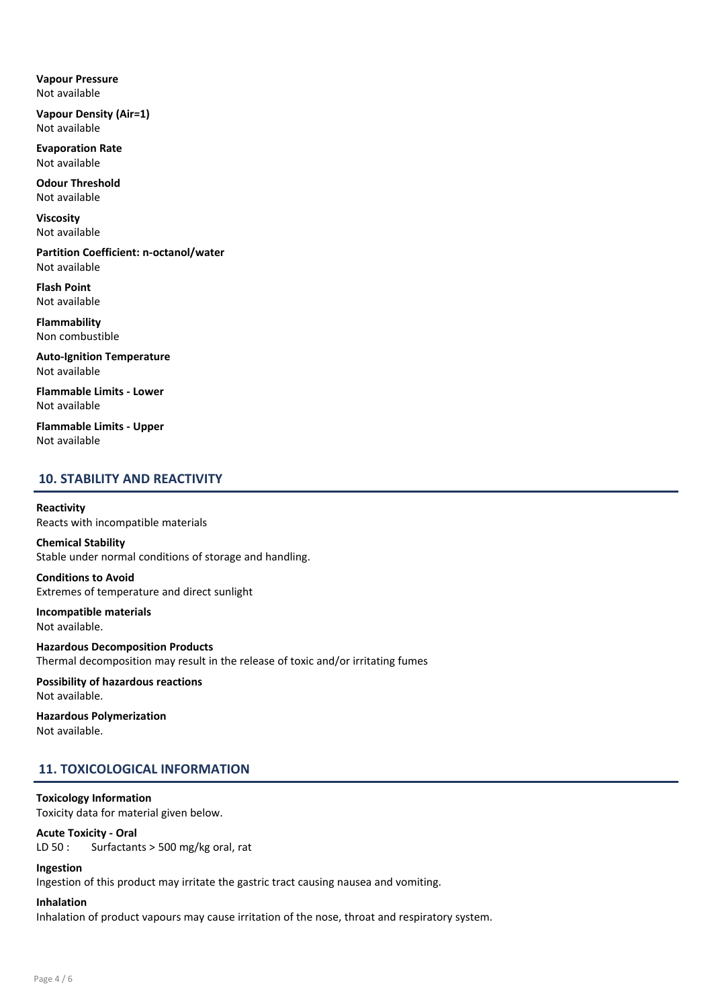Vapour Pressure Not available

Vapour Density (Air=1) Not available

Evaporation Rate Not available

Odour Threshold Not available

Viscosity Not available

Partition Coefficient: n-octanol/water Not available

Flash Point Not available

Flammability Non combustible

Auto-Ignition Temperature Not available

Flammable Limits - Lower Not available

Flammable Limits - Upper Not available

# 10. STABILITY AND REACTIVITY

Reactivity Reacts with incompatible materials

#### Chemical Stability Stable under normal conditions of storage and handling.

Conditions to Avoid Extremes of temperature and direct sunlight

Incompatible materials Not available.

Hazardous Decomposition Products Thermal decomposition may result in the release of toxic and/or irritating fumes

Possibility of hazardous reactions Not available.

Hazardous Polymerization Not available.

# 11. TOXICOLOGICAL INFORMATION

#### Toxicology Information Toxicity data for material given below.

# Acute Toxicity - Oral

LD 50 : Surfactants > 500 mg/kg oral, rat

#### Ingestion

Ingestion of this product may irritate the gastric tract causing nausea and vomiting.

# Inhalation

Inhalation of product vapours may cause irritation of the nose, throat and respiratory system.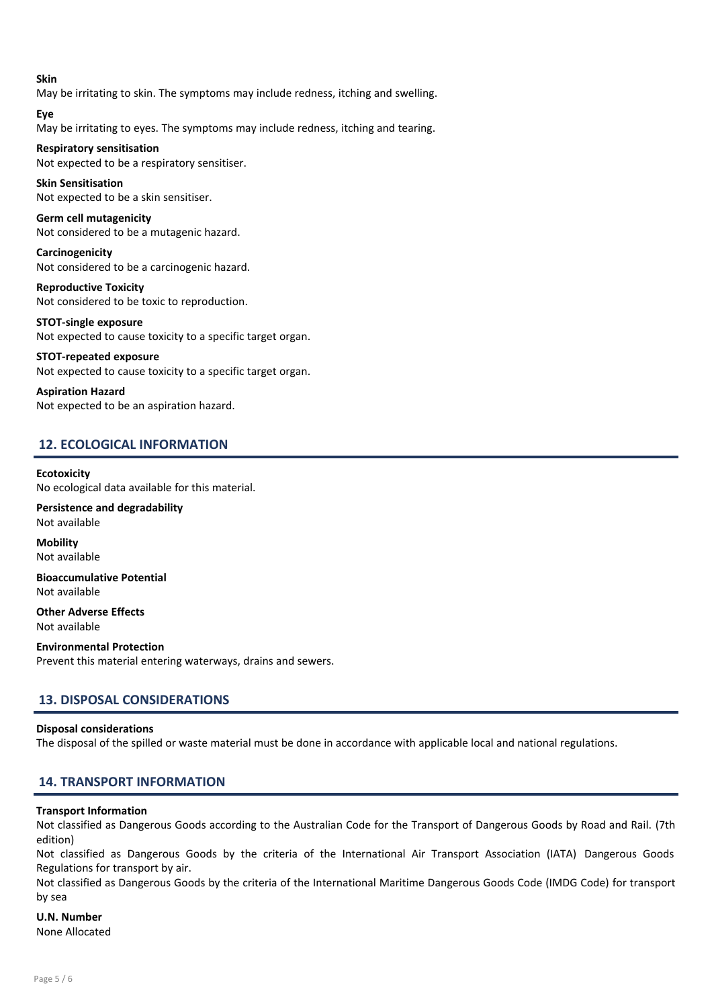#### Skin

May be irritating to skin. The symptoms may include redness, itching and swelling.

Eye

May be irritating to eyes. The symptoms may include redness, itching and tearing.

# Respiratory sensitisation

Not expected to be a respiratory sensitiser.

Skin Sensitisation Not expected to be a skin sensitiser.

Germ cell mutagenicity Not considered to be a mutagenic hazard.

Carcinogenicity Not considered to be a carcinogenic hazard.

Reproductive Toxicity Not considered to be toxic to reproduction.

STOT-single exposure Not expected to cause toxicity to a specific target organ.

#### STOT-repeated exposure

Not expected to cause toxicity to a specific target organ.

Aspiration Hazard Not expected to be an aspiration hazard.

# 12. ECOLOGICAL INFORMATION

#### **Ecotoxicity**

No ecological data available for this material.

Persistence and degradability Not available

**Mobility** Not available

Bioaccumulative Potential Not available

Other Adverse Effects Not available

Environmental Protection Prevent this material entering waterways, drains and sewers.

# 13. DISPOSAL CONSIDERATIONS

#### Disposal considerations

The disposal of the spilled or waste material must be done in accordance with applicable local and national regulations.

# 14. TRANSPORT INFORMATION

#### Transport Information

Not classified as Dangerous Goods according to the Australian Code for the Transport of Dangerous Goods by Road and Rail. (7th edition)

Not classified as Dangerous Goods by the criteria of the International Air Transport Association (IATA) Dangerous Goods Regulations for transport by air.

Not classified as Dangerous Goods by the criteria of the International Maritime Dangerous Goods Code (IMDG Code) for transport by sea

# U.N. Number

None Allocated